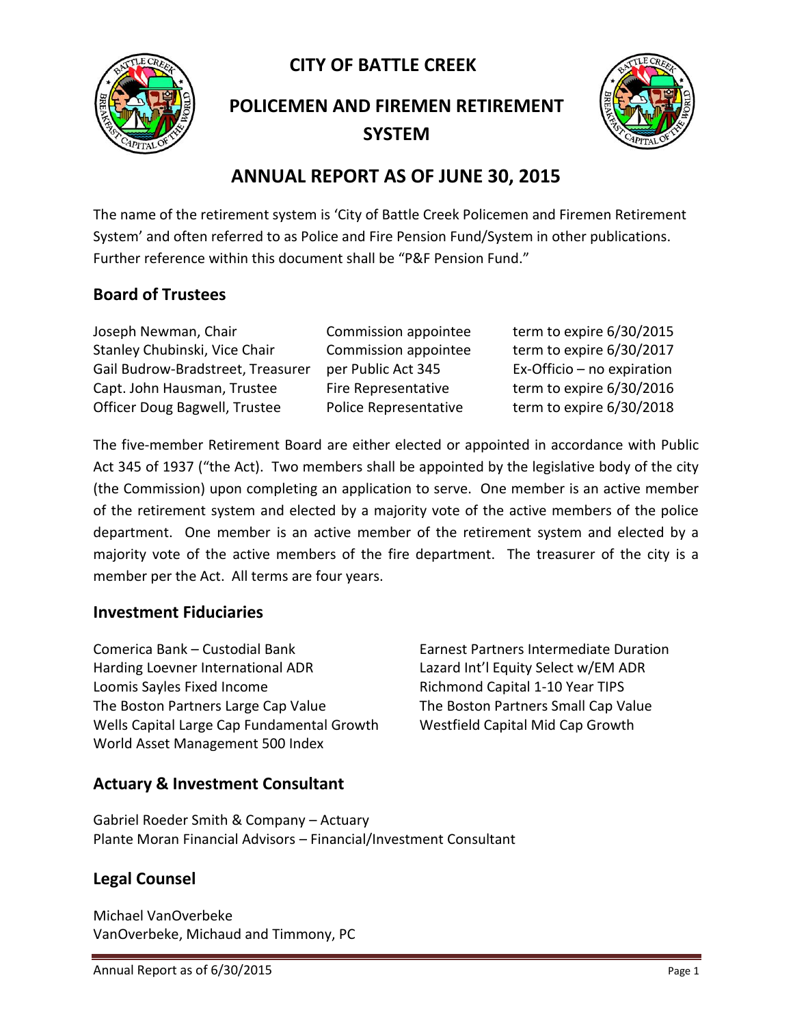**CITY OF BATTLE CREEK** 



**POLICEMEN AND FIREMEN RETIREMENT SYSTEM**



# **ANNUAL REPORT AS OF JUNE 30, 2015**

The name of the retirement system is 'City of Battle Creek Policemen and Firemen Retirement System' and often referred to as Police and Fire Pension Fund/System in other publications. Further reference within this document shall be "P&F Pension Fund."

## **Board of Trustees**

Joseph Newman, Chair Commission appointee term to expire 6/30/2015 Stanley Chubinski, Vice Chair Commission appointee term to expire 6/30/2017 Gail Budrow-Bradstreet, Treasurer per Public Act 345 Ex-Officio – no expiration Capt. John Hausman, Trustee Fire Representative term to expire 6/30/2016 Officer Doug Bagwell, Trustee Police Representative term to expire 6/30/2018

The five-member Retirement Board are either elected or appointed in accordance with Public Act 345 of 1937 ("the Act). Two members shall be appointed by the legislative body of the city (the Commission) upon completing an application to serve. One member is an active member of the retirement system and elected by a majority vote of the active members of the police department. One member is an active member of the retirement system and elected by a majority vote of the active members of the fire department. The treasurer of the city is a member per the Act. All terms are four years.

### **Investment Fiduciaries**

Comerica Bank – Custodial Bank Earnest Partners Intermediate Duration Harding Loevner International ADR Lazard Int'l Equity Select w/EM ADR Loomis Sayles Fixed Income The Richmond Capital 1-10 Year TIPS The Boston Partners Large Cap Value The Boston Partners Small Cap Value Wells Capital Large Cap Fundamental Growth Westfield Capital Mid Cap Growth World Asset Management 500 Index

## **Actuary & Investment Consultant**

Gabriel Roeder Smith & Company – Actuary Plante Moran Financial Advisors – Financial/Investment Consultant

## **Legal Counsel**

Michael VanOverbeke VanOverbeke, Michaud and Timmony, PC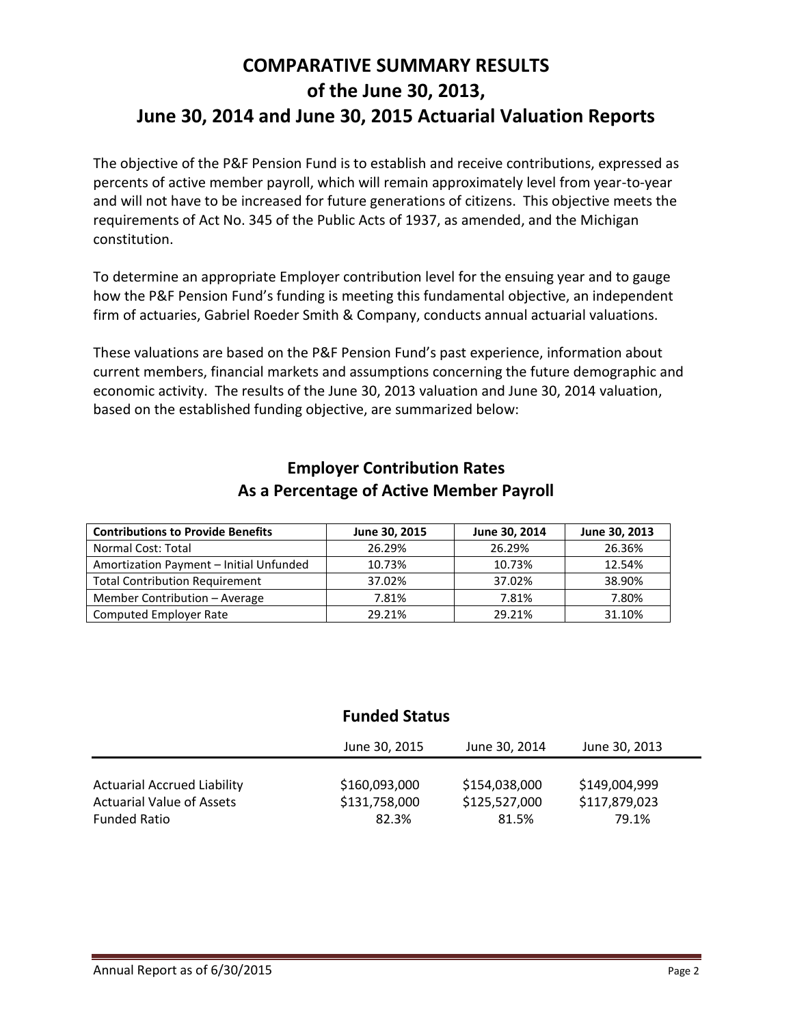# **COMPARATIVE SUMMARY RESULTS of the June 30, 2013, June 30, 2014 and June 30, 2015 Actuarial Valuation Reports**

The objective of the P&F Pension Fund is to establish and receive contributions, expressed as percents of active member payroll, which will remain approximately level from year-to-year and will not have to be increased for future generations of citizens. This objective meets the requirements of Act No. 345 of the Public Acts of 1937, as amended, and the Michigan constitution.

To determine an appropriate Employer contribution level for the ensuing year and to gauge how the P&F Pension Fund's funding is meeting this fundamental objective, an independent firm of actuaries, Gabriel Roeder Smith & Company, conducts annual actuarial valuations.

These valuations are based on the P&F Pension Fund's past experience, information about current members, financial markets and assumptions concerning the future demographic and economic activity. The results of the June 30, 2013 valuation and June 30, 2014 valuation, based on the established funding objective, are summarized below:

| <b>Contributions to Provide Benefits</b> | June 30, 2015 | June 30, 2014 | June 30, 2013 |
|------------------------------------------|---------------|---------------|---------------|
| Normal Cost: Total                       | 26.29%        | 26.29%        | 26.36%        |
| Amortization Payment - Initial Unfunded  | 10.73%        | 10.73%        | 12.54%        |
| <b>Total Contribution Requirement</b>    | 37.02%        | 37.02%        | 38.90%        |
| Member Contribution - Average            | 7.81%         | 7.81%         | 7.80%         |
| <b>Computed Employer Rate</b>            | 29.21%        | 29.21%        | 31.10%        |

### **Employer Contribution Rates As a Percentage of Active Member Payroll**

## **Funded Status**

|                                    | June 30, 2015 | June 30, 2014 | June 30, 2013 |  |
|------------------------------------|---------------|---------------|---------------|--|
| <b>Actuarial Accrued Liability</b> | \$160,093,000 | \$154,038,000 | \$149,004,999 |  |
| <b>Actuarial Value of Assets</b>   | \$131,758,000 | \$125,527,000 | \$117,879,023 |  |
| <b>Funded Ratio</b>                | 82.3%         | 81.5%         | 79.1%         |  |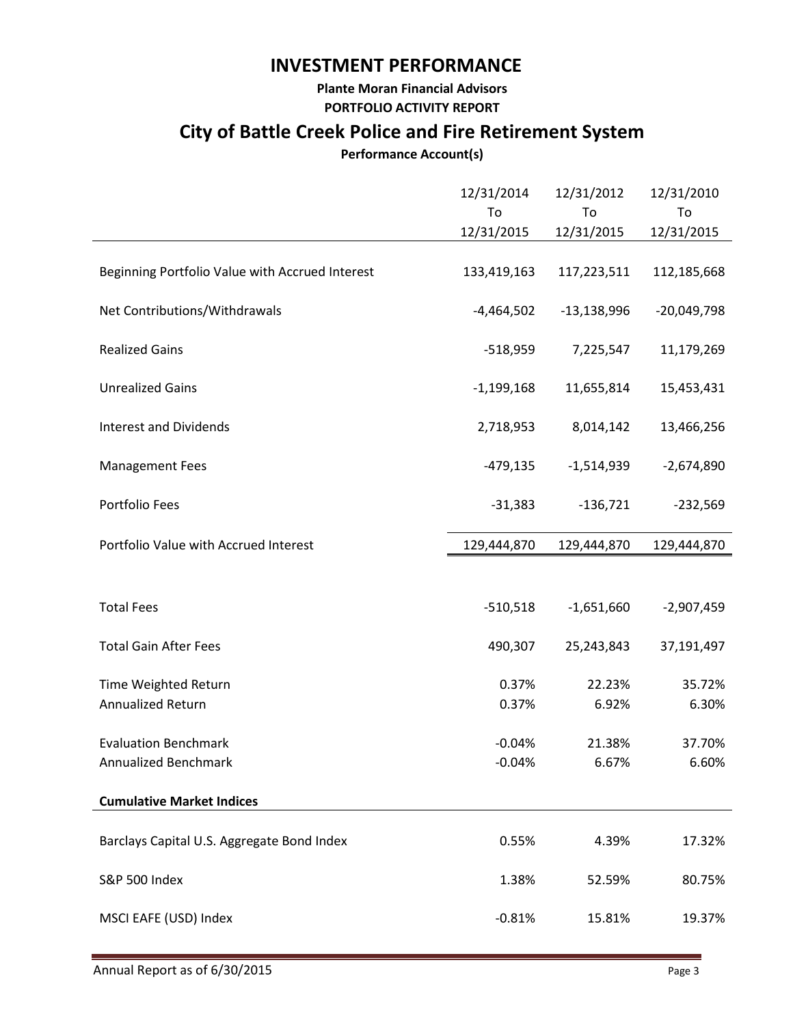# **INVESTMENT PERFORMANCE**

#### **Plante Moran Financial Advisors PORTFOLIO ACTIVITY REPORT**

# **City of Battle Creek Police and Fire Retirement System**

### **Performance Account(s)**

|                                                 | 12/31/2014<br>To<br>12/31/2015 | 12/31/2012<br>To<br>12/31/2015 | 12/31/2010<br>To<br>12/31/2015 |
|-------------------------------------------------|--------------------------------|--------------------------------|--------------------------------|
| Beginning Portfolio Value with Accrued Interest | 133,419,163                    | 117,223,511                    | 112,185,668                    |
| Net Contributions/Withdrawals                   | $-4,464,502$                   | $-13,138,996$                  | $-20,049,798$                  |
| <b>Realized Gains</b>                           | $-518,959$                     | 7,225,547                      | 11,179,269                     |
| <b>Unrealized Gains</b>                         | $-1,199,168$                   | 11,655,814                     | 15,453,431                     |
| <b>Interest and Dividends</b>                   | 2,718,953                      | 8,014,142                      | 13,466,256                     |
| <b>Management Fees</b>                          | $-479,135$                     | $-1,514,939$                   | $-2,674,890$                   |
| Portfolio Fees                                  | $-31,383$                      | $-136,721$                     | $-232,569$                     |
| Portfolio Value with Accrued Interest           | 129,444,870                    | 129,444,870                    | 129,444,870                    |
|                                                 |                                |                                |                                |
| <b>Total Fees</b>                               | $-510,518$                     | $-1,651,660$                   | $-2,907,459$                   |
| <b>Total Gain After Fees</b>                    | 490,307                        | 25,243,843                     | 37,191,497                     |
| Time Weighted Return                            | 0.37%                          | 22.23%                         | 35.72%                         |
| Annualized Return                               | 0.37%                          | 6.92%                          | 6.30%                          |
| <b>Evaluation Benchmark</b>                     | $-0.04%$                       | 21.38%                         | 37.70%                         |
| Annualized Benchmark                            | $-0.04%$                       | 6.67%                          | 6.60%                          |
| <b>Cumulative Market Indices</b>                |                                |                                |                                |
| Barclays Capital U.S. Aggregate Bond Index      | 0.55%                          | 4.39%                          | 17.32%                         |
| S&P 500 Index                                   | 1.38%                          | 52.59%                         | 80.75%                         |
| MSCI EAFE (USD) Index                           | $-0.81%$                       | 15.81%                         | 19.37%                         |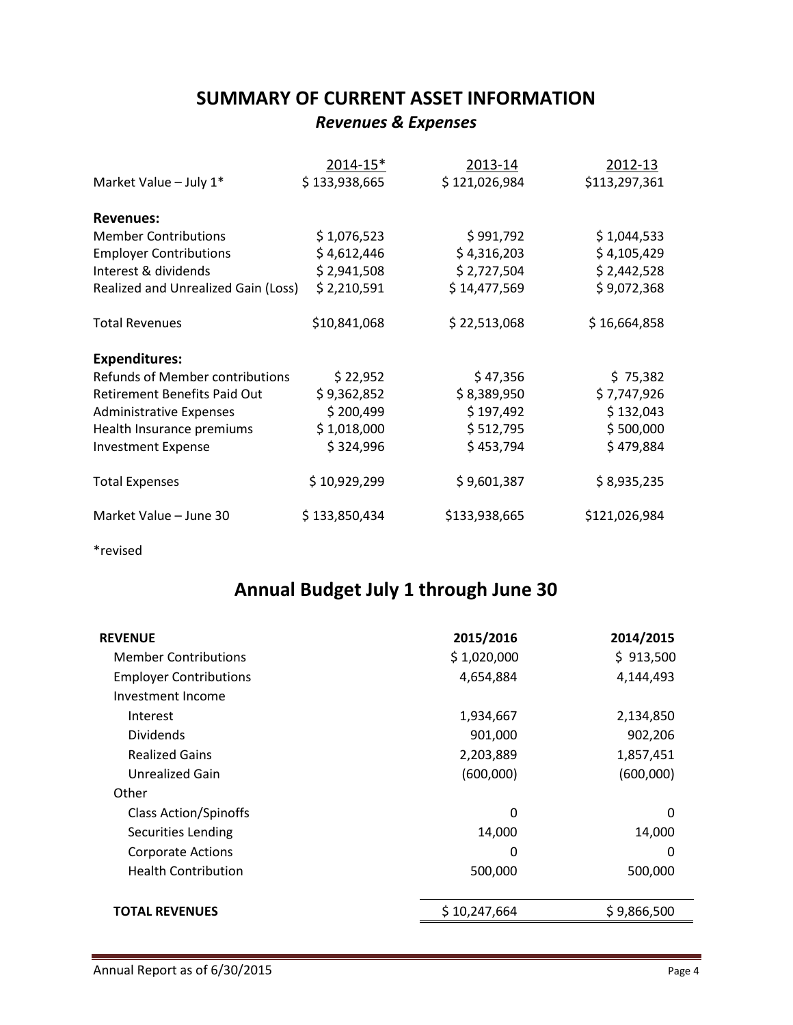# **SUMMARY OF CURRENT ASSET INFORMATION** *Revenues & Expenses*

|                                        | 2014-15*      | 2013-14       | 2012-13       |
|----------------------------------------|---------------|---------------|---------------|
| Market Value - July 1*                 | \$133,938,665 | \$121,026,984 | \$113,297,361 |
| <b>Revenues:</b>                       |               |               |               |
| <b>Member Contributions</b>            | \$1,076,523   | \$991,792     | \$1,044,533   |
| <b>Employer Contributions</b>          | \$4,612,446   | \$4,316,203   | \$4,105,429   |
| Interest & dividends                   | \$2,941,508   | \$2,727,504   | \$2,442,528   |
| Realized and Unrealized Gain (Loss)    | \$2,210,591   | \$14,477,569  | \$9,072,368   |
| <b>Total Revenues</b>                  | \$10,841,068  | \$22,513,068  | \$16,664,858  |
| <b>Expenditures:</b>                   |               |               |               |
| <b>Refunds of Member contributions</b> | \$22,952      | \$47,356      | \$75,382      |
| <b>Retirement Benefits Paid Out</b>    | \$9,362,852   | \$8,389,950   | \$7,747,926   |
| <b>Administrative Expenses</b>         | \$200,499     | \$197,492     | \$132,043     |
| Health Insurance premiums              | \$1,018,000   | \$512,795     | \$500,000     |
| <b>Investment Expense</b>              | \$324,996     | \$453,794     | \$479,884     |
| <b>Total Expenses</b>                  | \$10,929,299  | \$9,601,387   | \$8,935,235   |
| Market Value - June 30                 | \$133,850,434 | \$133,938,665 | \$121,026,984 |

\*revised

# **Annual Budget July 1 through June 30**

| <b>REVENUE</b>                | 2015/2016    | 2014/2015   |
|-------------------------------|--------------|-------------|
| <b>Member Contributions</b>   | \$1,020,000  | \$913,500   |
| <b>Employer Contributions</b> | 4,654,884    | 4,144,493   |
| Investment Income             |              |             |
| Interest                      | 1,934,667    | 2,134,850   |
| <b>Dividends</b>              | 901,000      | 902,206     |
| <b>Realized Gains</b>         | 2,203,889    | 1,857,451   |
| Unrealized Gain               | (600,000)    | (600,000)   |
| Other                         |              |             |
| <b>Class Action/Spinoffs</b>  | 0            | 0           |
| <b>Securities Lending</b>     | 14,000       | 14,000      |
| <b>Corporate Actions</b>      | 0            | 0           |
| <b>Health Contribution</b>    | 500,000      | 500,000     |
|                               |              |             |
| <b>TOTAL REVENUES</b>         | \$10,247,664 | \$9,866,500 |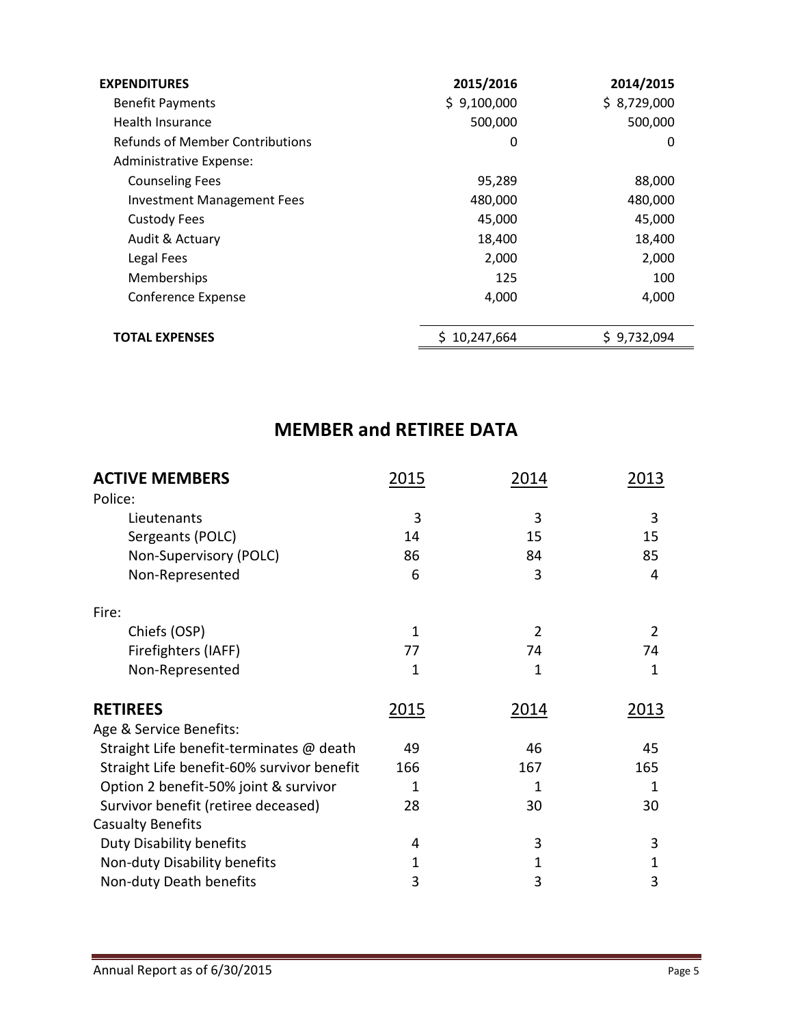| <b>EXPENDITURES</b>               | 2015/2016    | 2014/2015   |
|-----------------------------------|--------------|-------------|
| <b>Benefit Payments</b>           | \$9,100,000  | \$8,729,000 |
| Health Insurance                  | 500,000      | 500,000     |
| Refunds of Member Contributions   | 0            | 0           |
| Administrative Expense:           |              |             |
| <b>Counseling Fees</b>            | 95,289       | 88,000      |
| <b>Investment Management Fees</b> | 480,000      | 480,000     |
| <b>Custody Fees</b>               | 45,000       | 45,000      |
| Audit & Actuary                   | 18,400       | 18,400      |
| Legal Fees                        | 2,000        | 2,000       |
| Memberships                       | 125          | 100         |
| Conference Expense                | 4,000        | 4,000       |
|                                   |              |             |
| <b>TOTAL EXPENSES</b>             | \$10,247,664 | \$9,732,094 |

# **MEMBER and RETIREE DATA**

| <b>ACTIVE MEMBERS</b><br>Police:           | 2015 | 2014           | 2013 |
|--------------------------------------------|------|----------------|------|
|                                            | 3    | 3              | 3    |
| Lieutenants                                | 14   |                |      |
| Sergeants (POLC)                           |      | 15             | 15   |
| Non-Supervisory (POLC)                     | 86   | 84             | 85   |
| Non-Represented                            | 6    | 3              | 4    |
| Fire:                                      |      |                |      |
| Chiefs (OSP)                               | 1    | $\overline{2}$ | 2    |
| Firefighters (IAFF)                        | 77   | 74             | 74   |
| Non-Represented                            | 1    | 1              | 1    |
| <b>RETIREES</b>                            | 2015 | <u>2014</u>    | 2013 |
| Age & Service Benefits:                    |      |                |      |
| Straight Life benefit-terminates @ death   | 49   | 46             | 45   |
| Straight Life benefit-60% survivor benefit | 166  | 167            | 165  |
| Option 2 benefit-50% joint & survivor      | 1    | 1              | 1    |
| Survivor benefit (retiree deceased)        | 28   | 30             | 30   |
| <b>Casualty Benefits</b>                   |      |                |      |
| <b>Duty Disability benefits</b>            | 4    | 3              | 3    |
| Non-duty Disability benefits               | 1    | 1              | 1    |
| Non-duty Death benefits                    | 3    | 3              | 3    |